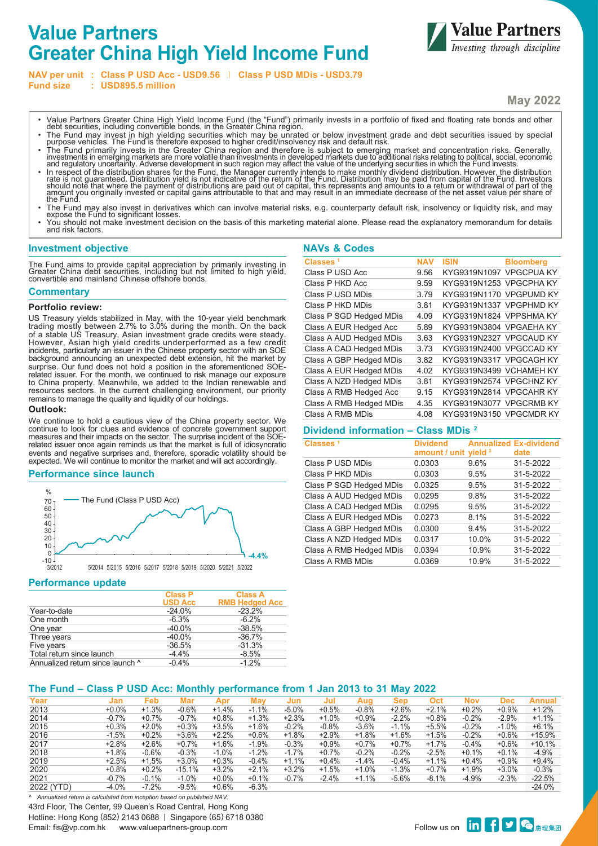# **Value Partners Greater China High Yield Income Fund**



**NAV per unit : Class P USD Acc - USD9.56 Class P USD MDis - USD3.79**

**Fund size : USD895.5 million**

- **May 2022**
- Value Partners Greater China High Yield Income Fund (the "Fund") primarily invests in a portfolio of fixed and floating rate bonds and other debt securities, including convertible bonds, in the Greater China region.
- The Fund may invest in high yielding securities which may be unrated or below investment grade and debt securities issued by special<br>purpose vehicles. The Fund is therefore exposed to higher credit/insolvency risk and de
- The Fund primarily invests in the Greater China region and therefore is subject to emerging market and concentration risks. Generally,<br>investments in emerging markets are more volatile than investments in developed marke
- In respect of the distribution shares for the Fund, the Manager currently intends to make monthly dividend distribution. However, the distribution rate is not indicative of the return of the Fund. Distribution may be pai
- The Fund may also invest in derivatives which can involve material risks, e.g. counterparty default risk, insolvency or liquidity risk, and may expose the Fund to significant losses.
- You should not make investment decision on the basis of this marketing material alone. Please read the explanatory memorandum for details and risk factors.

**NAVs & Codes**

## **Investment objective**

The Fund aims to provide capital appreciation by primarily investing in Greater China debt securities, including but not limited to high yield, convertible and mainland Chinese offshore bonds.

#### **Commentary**

#### **Portfolio review:**

US Treasury yields stabilized in May, with the 10-year yield benchmark trading mostly between 2.7% to 3.0% during the month. On the back of a stable US Treasury, Asian investment grade credits were steady. However, Asian high yield credits underperformed as a few credit incidents, particularly an issuer in the Chinese property sector with an SOE background announcing an unexpected debt extension, hit the market by surprise. Our fund does not hold a position in the aforementioned SOErelated issuer. For the month, we continued to risk manage our exposure to China property. Meanwhile, we added to the Indian renewable and resources sectors. In the current challenging environment, our priority remains to manage the quality and liquidity of our holdings.

#### **Outlook:**

We continue to hold a cautious view of the China property sector. We continue to look for clues and evidence of concrete government support measures and their impacts on the sector. The surprise incident of the SOErelated issuer once again reminds us that the market is full of idiosyncratic events and negative surprises and, therefore, sporadic volatility should be expected. We will continue to monitor the market and will act accordingly.

#### **Performance since launch**



#### **Performance update**

|                                  | <b>Class P</b><br><b>USD Acc</b> | <b>Class A</b><br><b>RMB Hedged Acc</b> |
|----------------------------------|----------------------------------|-----------------------------------------|
| Year-to-date                     | $-24.0%$                         | $-23.2%$                                |
| One month                        | $-6.3%$                          | $-6.2%$                                 |
| One year                         | $-40.0\%$                        | $-38.5%$                                |
| Three years                      | $-40.0%$                         | $-36.7%$                                |
| Five years                       | $-36.5%$                         | $-31.3%$                                |
| Total return since launch        | $-4.4%$                          | $-8.5%$                                 |
| Annualized return since launch ^ | $-0.4%$                          | $-1.2%$                                 |

| Classes <sup>1</sup>    | <b>NAV</b> | <b>ISIN</b>             | <b>Bloomberg</b> |
|-------------------------|------------|-------------------------|------------------|
| Class P USD Acc         | 9.56       | KYG9319N1097 VPGCPUA KY |                  |
| Class P HKD Acc         | 9.59       | KYG9319N1253 VPGCPHA KY |                  |
| Class P USD MDis        | 3.79       | KYG9319N1170 VPGPUMD KY |                  |
| Class P HKD MDis        | 3.81       | KYG9319N1337 VPGPHMD KY |                  |
| Class P SGD Hedged MDis | 4.09       | KYG9319N1824 VPPSHMA KY |                  |
| Class A EUR Hedged Acc  | 5.89       | KYG9319N3804 VPGAEHA KY |                  |
| Class A AUD Hedged MDis | 3.63       | KYG9319N2327 VPGCAUD KY |                  |
| Class A CAD Hedged MDis | 3.73       | KYG9319N2400 VPGCCAD KY |                  |
| Class A GBP Hedged MDis | 3.82       | KYG9319N3317 VPGCAGH KY |                  |
| Class A EUR Hedged MDis | 4.02       | KYG9319N3499 VCHAMEH KY |                  |
| Class A NZD Hedged MDis | 3.81       | KYG9319N2574 VPGCHNZ KY |                  |
| Class A RMB Hedged Acc  | 9.15       | KYG9319N2814 VPGCAHR KY |                  |
| Class A RMB Hedged MDis | 4.35       | KYG9319N3077 VPGCRMB KY |                  |
| Class A RMB MDis        | 4.08       | KYG9319N3150 VPGCMDR KY |                  |

## **Dividend information – Class MDis 2**

| Classes <sup>1</sup>    | <b>Dividend</b><br>amount / unit yield 3 |       | <b>Annualized Ex-dividend</b><br>date |
|-------------------------|------------------------------------------|-------|---------------------------------------|
| Class P USD MDis        | 0.0303                                   | 9.6%  | 31-5-2022                             |
| Class P HKD MDis        | 0.0303                                   | 9.5%  | 31-5-2022                             |
| Class P SGD Hedged MDis | 0.0325                                   | 9.5%  | 31-5-2022                             |
| Class A AUD Hedged MDis | 0.0295                                   | 9.8%  | 31-5-2022                             |
| Class A CAD Hedged MDis | 0.0295                                   | 9.5%  | 31-5-2022                             |
| Class A EUR Hedged MDis | 0.0273                                   | 8 1%  | 31-5-2022                             |
| Class A GBP Hedged MDis | 0.0300                                   | 9.4%  | 31-5-2022                             |
| Class A NZD Hedged MDis | 0.0317                                   | 10.0% | 31-5-2022                             |
| Class A RMB Hedged MDis | 0.0394                                   | 10.9% | 31-5-2022                             |
| Class A RMB MDis        | 0.0369                                   | 10.9% | 31-5-2022                             |

## **The Fund – Class P USD Acc: Monthly performance from 1 Jan 2013 to 31 May 2022**

| Year       | Jan     | Feb     | Mar      | Apr     | Mav     | Jun     | Jul     | Aua     | Sep     | Oct     | Nov     | Dec     | Annual   |
|------------|---------|---------|----------|---------|---------|---------|---------|---------|---------|---------|---------|---------|----------|
| 2013       | $+0.0%$ | $+1.3%$ | $-0.6%$  | $+1.4%$ | $-1.1%$ | $-5.0%$ | $+0.5%$ | $-0.8%$ | $+2.6%$ | $+2.1%$ | $+0.2%$ | $+0.9%$ | $+1.2%$  |
| 2014       | $-0.7%$ | $+0.7%$ | $-0.7%$  | $+0.8%$ | $+1.3%$ | $+2.3%$ | $+1.0%$ | $+0.9%$ | $-2.2%$ | $+0.8%$ | $-0.2%$ | $-2.9%$ | $+1.1%$  |
| 2015       | $+0.3%$ | $+2.0%$ | $+0.3%$  | $+3.5%$ | $+1.6%$ | $-0.2%$ | $-0.8%$ | $-3.6%$ | $-1.1%$ | $+5.5%$ | $-0.2%$ | $-1.0%$ | $+6.1%$  |
| 2016       | $-1.5%$ | $+0.2%$ | $+3.6%$  | $+2.2%$ | $+0.6%$ | $+1.8%$ | $+2.9%$ | $+1.8%$ | $+1.6%$ | $+1.5%$ | $-0.2%$ | $+0.6%$ | $+15.9%$ |
| 2017       | $+2.8%$ | $+2.6%$ | $+0.7%$  | $+1.6%$ | $-1.9%$ | $-0.3%$ | $+0.9%$ | $+0.7%$ | $+0.7%$ | $+1.7%$ | $-0.4%$ | $+0.6%$ | $+10.1%$ |
| 2018       | $+1.8%$ | $-0.6%$ | $-0.3%$  | $-1.0%$ | $-1.2%$ | $-1.7%$ | $+0.7%$ | $-0.2%$ | $-0.2%$ | $-2.5%$ | $+0.1%$ | $+0.1%$ | $-4.9%$  |
| 2019       | $+2.5%$ | $+1.5%$ | $+3.0%$  | $+0.3%$ | $-0.4%$ | $+1.1%$ | $+0.4%$ | $-1.4%$ | $-0.4%$ | $+1.1%$ | $+0.4%$ | $+0.9%$ | $+9.4%$  |
| 2020       | $+0.8%$ | $+0.2%$ | $-15.1%$ | $+3.2%$ | $+2.1%$ | $+3.2%$ | $+1.5%$ | $+1.0%$ | $-1.3%$ | $+0.7%$ | $+1.9%$ | $+3.0%$ | $-0.3%$  |
| 2021       | $-0.7%$ | $-0.1%$ | $-1.0%$  | $+0.0%$ | $+0.1%$ | $-0.7%$ | $-2.4%$ | $+1.1%$ | $-5.6%$ | $-8.1%$ | $-4.9%$ | $-2.3%$ | $-22.5%$ |
| 2022 (YTD) | $-4.0%$ | $-7.2%$ | $-9.5%$  | $+0.6%$ | $-6.3%$ |         |         |         |         |         |         |         | $-24.0%$ |

43rd Floor, The Center, 99 Queen's Road Central, Hong Kong Hotline: Hong Kong (852) 2143 0688 | Singapore (65) 6718 0380 الماليات المستحدة المستحدة المستحدة المستحدة المستحدة المستحدة المستحدة المستحدة المستحدة المستحدة المستحدة ال<br>Follow us on **tin of the e**nail: fis@vp.com.hk www.valuepartners-group.com *^ Annualized return is calculated from inception based on published NAV.*